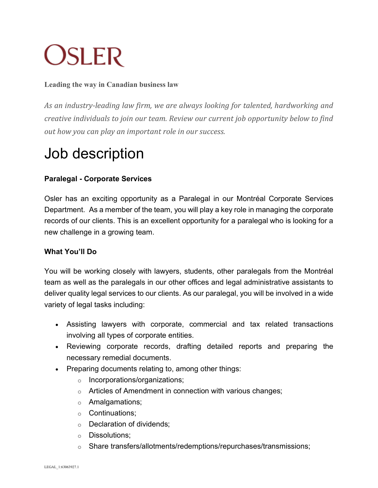# **OSLER**

#### **Leading the way in Canadian business law**

As an industry-leading law firm, we are always looking for talented, hardworking and *creative individuals to join our team. Review our current job opportunity below to find out how you can play an important role in our success.* 

## Job description

### **Paralegal - Corporate Services**

Osler has an exciting opportunity as a Paralegal in our Montréal Corporate Services Department. As a member of the team, you will play a key role in managing the corporate records of our clients. This is an excellent opportunity for a paralegal who is looking for a new challenge in a growing team.

#### **What You'll Do**

You will be working closely with lawyers, students, other paralegals from the Montréal team as well as the paralegals in our other offices and legal administrative assistants to deliver quality legal services to our clients. As our paralegal, you will be involved in a wide variety of legal tasks including:

- Assisting lawyers with corporate, commercial and tax related transactions involving all types of corporate entities.
- Reviewing corporate records, drafting detailed reports and preparing the necessary remedial documents.
- Preparing documents relating to, among other things:
	- o Incorporations/organizations;
	- o Articles of Amendment in connection with various changes;
	- o Amalgamations;
	- o Continuations;
	- o Declaration of dividends;
	- o Dissolutions;
	- o Share transfers/allotments/redemptions/repurchases/transmissions;